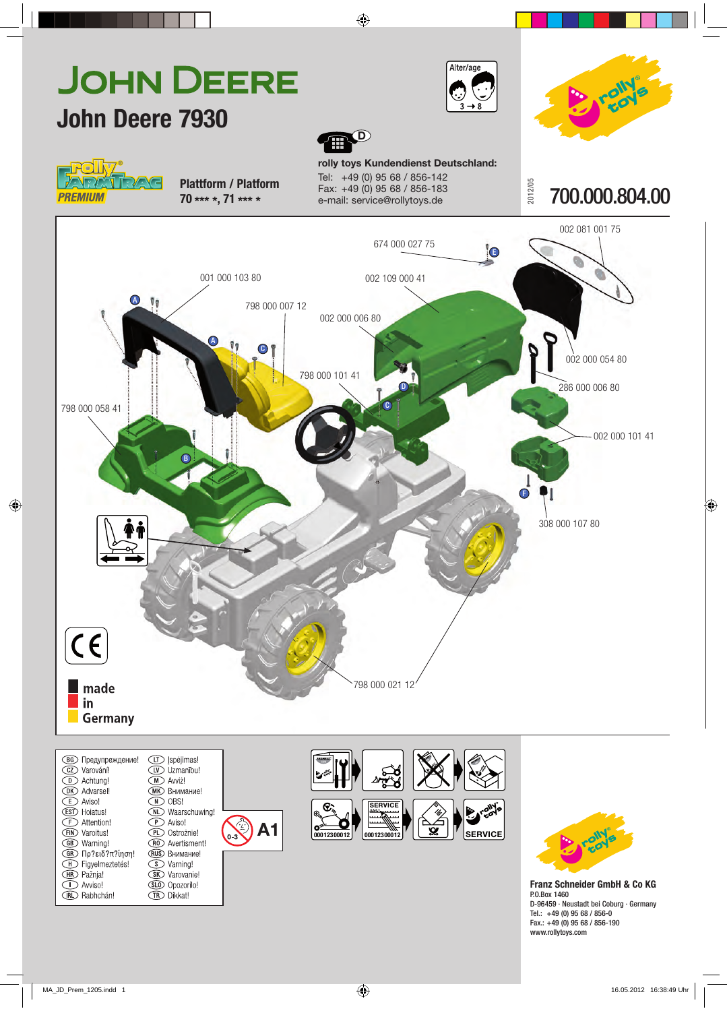

**В Предупреждение!** CZ Varování! **D** Achtung! **DK** Advarsel! **E** Aviso! **EST** Hoiatus! **E** Attention! **EIN** Varoitus! **GB** Warning!  $G$  Πρ?ειδ?π? iηση! H Figyelmeztetés! **HR** Pažnja! ◯ Avviso! GLO Opozorilo! **RD** Rabhchán! **TR** Dikkat!

**ID** |spėjimas! Uzmanību! **M** Avviż! **(МК)** Внимание!  $\overline{M}$  OBS! **OL** Waarschuwing!  $\widetilde{\mathcal{P}}$  Aviso! **PD** Ostrożnie! (RO) Avertisment! **RUS** Внимание! S Varning! **SK** Varovanie!

**A1**



**Franz Schneider GmbH & Co KG** P.O.Box 1460 D-96 459 · Neustadt bei Coburg · Germany Tel.: +49 (0) 95 68 / 856-0

Fax.: +49 (0) 95 68 / 856-190 www.rollytoys.com